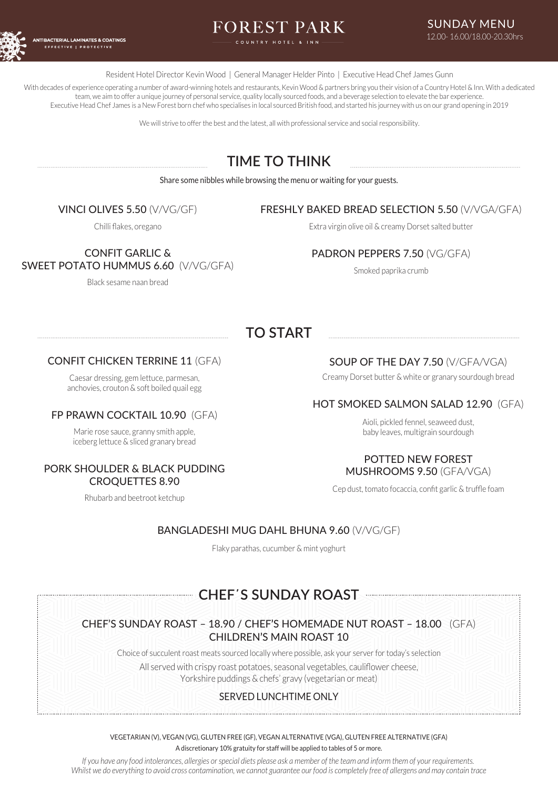

# FOREST PARK

Resident Hotel Director Kevin Wood | General Manager Helder Pinto | Executive Head Chef James Gunn

With decades of experience operating a number of award-winning hotels and restaurants. Kevin Wood & partners bring you their vision of a Country Hotel & Inn. With a dedicated team, we aim to offer a unique journey of personal service, quality locally sourced foods, and a beverage selection to elevate the bar experience. Executive Head Chef James is a New Forest born chef who specialises in local sourced British food, and started his journey with us on our grand opening in 2019

We will strive to offer the best and the latest, all with professional service and social responsibility.

## **TIME TO THINK**

Share some nibbles while browsing the menu or waiting for your guests.

## VINCI OLIVES 5.50 (V/VG/GF)

#### Chilli flakes, oregano

## FRESHLY BAKED BREAD SELECTION 5.50 (V/VGA/GFA)

Extra virgin olive oil & creamy Dorset salted butter

CONFIT GARLIC & SWEET POTATO HUMMUS 6.60 (V/VG/GFA)

Black sesame naan bread

## PADRON PEPPERS 7.50 (VG/GFA)

Smoked paprika crumb

## **TO START**

## CONFIT CHICKEN TERRINE 11 (GFA)

Caesar dressing, gem lettuce, parmesan, anchovies, crouton & soft boiled quail egg

#### FP PRAWN COCKTAIL 10.90 (GFA)

Marie rose sauce, granny smith apple, iceberg lettuce & sliced granary bread

## PORK SHOULDER & BLACK PUDDING CROQUETTES 8.90

Rhubarb and beetroot ketchup

## SOUP OF THE DAY 7.50 (V/GFA/VGA)

Creamy Dorset butter & white or granary sourdough bread

## HOT SMOKED SALMON SALAD 12.90 (GFA)

Aioli, pickled fennel, seaweed dust, baby leaves, multigrain sourdough

#### POTTED NEW FOREST MUSHROOMS 9.50 (GFA/VGA)

Cep dust, tomato focaccia, confit garlic & truffle foam

## BANGLADESHI MUG DAHL BHUNA 9.60 (V/VG/GF)

Flaky parathas, cucumber & mint yoghurt

## **CHEF̕S SUNDAY ROAST**

## CHEF'S SUNDAY ROAST – 18.90 / CHEF**'**S HOMEMADE NUT ROAST – 18.00 (GFA) CHILDREN**'**S MAIN ROAST 10

Choice of succulent roast meats sourced locally where possible, ask your server for today's selection All served with crispy roast potatoes, seasonal vegetables, cauliflower cheese, Yorkshire puddings & chefs' gravy (vegetarian or meat)

## SERVED LUNCHTIME ONLY

VEGETARIAN (V), VEGAN (VG), GLUTEN FREE (GF), VEGAN ALTERNATIVE (VGA), GLUTEN FREE ALTERNATIVE (GFA)

A discretionary 10% gratuity for staff will be applied to tables of 5 or more.

*If you have any food intolerances, allergies or special diets please ask a member of the team and inform them of your requirements. Whilst we do everything to avoid cross contamination, we cannot guarantee our food is completely free of allergens and may contain trace*